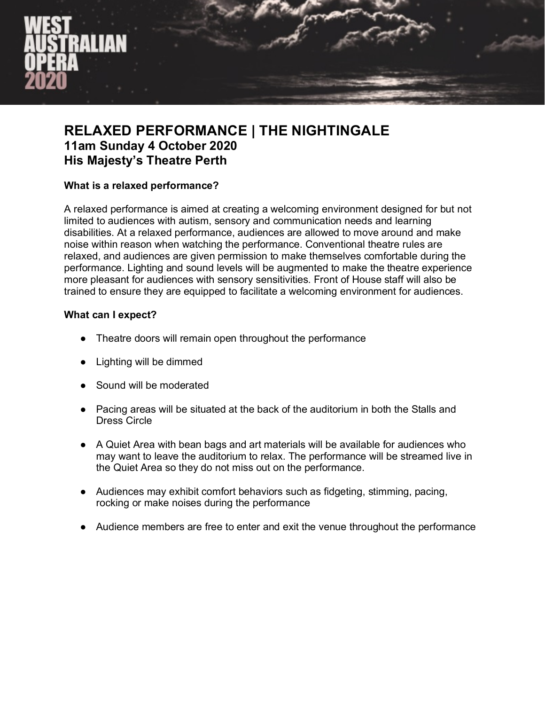

# **RELAXED PERFORMANCE | THE NIGHTINGALE 11am Sunday 4 October 2020 His Majesty's Theatre Perth**

### **What is a relaxed performance?**

A relaxed performance is aimed at creating a welcoming environment designed for but not limited to audiences with autism, sensory and communication needs and learning disabilities. At a relaxed performance, audiences are allowed to move around and make noise within reason when watching the performance. Conventional theatre rules are relaxed, and audiences are given permission to make themselves comfortable during the performance. Lighting and sound levels will be augmented to make the theatre experience more pleasant for audiences with sensory sensitivities. Front of House staff will also be trained to ensure they are equipped to facilitate a welcoming environment for audiences.

### **What can I expect?**

- Theatre doors will remain open throughout the performance
- Lighting will be dimmed
- Sound will be moderated
- Pacing areas will be situated at the back of the auditorium in both the Stalls and Dress Circle
- A Quiet Area with bean bags and art materials will be available for audiences who may want to leave the auditorium to relax. The performance will be streamed live in the Quiet Area so they do not miss out on the performance.
- Audiences may exhibit comfort behaviors such as fidgeting, stimming, pacing, rocking or make noises during the performance
- Audience members are free to enter and exit the venue throughout the performance